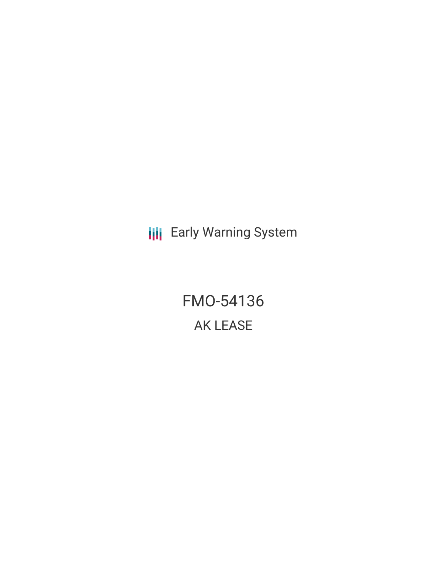**III** Early Warning System

FMO-54136 AK LEASE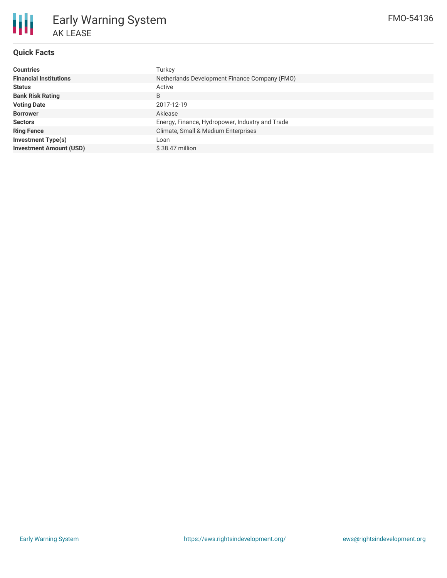

# Early Warning System AK LEASE

## **Quick Facts**

| <b>Countries</b>               | Turkey                                          |  |  |  |  |
|--------------------------------|-------------------------------------------------|--|--|--|--|
| <b>Financial Institutions</b>  | Netherlands Development Finance Company (FMO)   |  |  |  |  |
| <b>Status</b>                  | Active                                          |  |  |  |  |
| <b>Bank Risk Rating</b>        | B                                               |  |  |  |  |
| <b>Voting Date</b>             | 2017-12-19                                      |  |  |  |  |
| <b>Borrower</b>                | Aklease                                         |  |  |  |  |
| <b>Sectors</b>                 | Energy, Finance, Hydropower, Industry and Trade |  |  |  |  |
| <b>Ring Fence</b>              | Climate, Small & Medium Enterprises             |  |  |  |  |
| <b>Investment Type(s)</b>      | Loan                                            |  |  |  |  |
| <b>Investment Amount (USD)</b> | $$38.47$ million                                |  |  |  |  |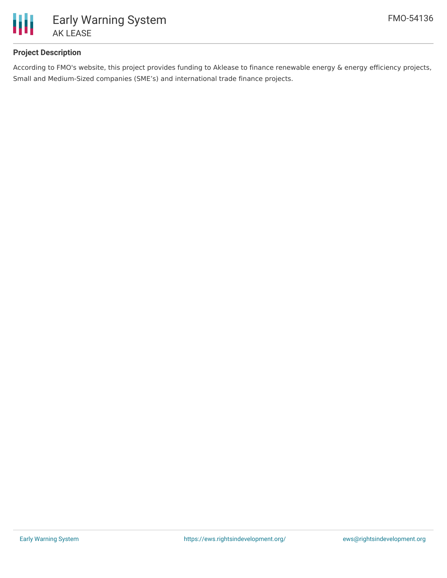

## **Project Description**

According to FMO's website, this project provides funding to Aklease to finance renewable energy & energy efficiency projects, Small and Medium-Sized companies (SME's) and international trade finance projects.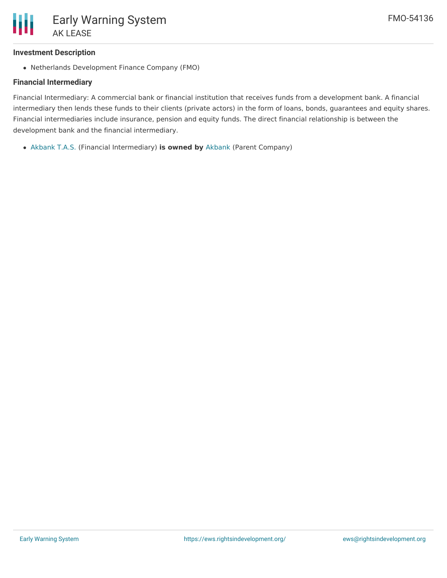## **Investment Description**

Netherlands Development Finance Company (FMO)

## **Financial Intermediary**

Financial Intermediary: A commercial bank or financial institution that receives funds from a development bank. A financial intermediary then lends these funds to their clients (private actors) in the form of loans, bonds, guarantees and equity shares. Financial intermediaries include insurance, pension and equity funds. The direct financial relationship is between the development bank and the financial intermediary.

[Akbank](file:///actor/898/) T.A.S. (Financial Intermediary) **is owned by** [Akbank](file:///actor/3524/) (Parent Company)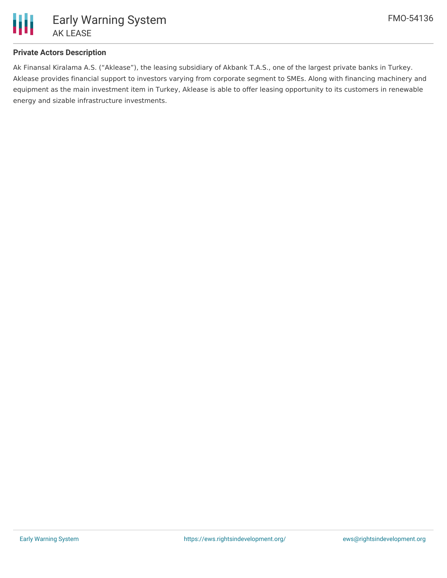

## **Private Actors Description**

Ak Finansal Kiralama A.S. ("Aklease"), the leasing subsidiary of Akbank T.A.S., one of the largest private banks in Turkey. Aklease provides financial support to investors varying from corporate segment to SMEs. Along with financing machinery and equipment as the main investment item in Turkey, Aklease is able to offer leasing opportunity to its customers in renewable energy and sizable infrastructure investments.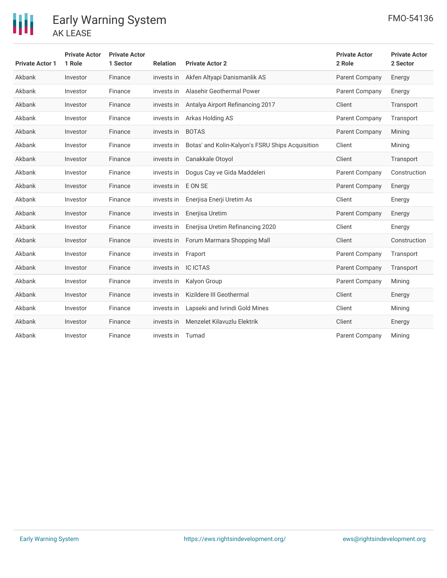

| <b>Private Actor 1</b> | <b>Private Actor</b><br>1 Role | <b>Private Actor</b><br>1 Sector | <b>Relation</b> | <b>Private Actor 2</b>                           | <b>Private Actor</b><br>2 Role | <b>Private Actor</b><br>2 Sector |
|------------------------|--------------------------------|----------------------------------|-----------------|--------------------------------------------------|--------------------------------|----------------------------------|
| Akbank                 | Investor                       | Finance                          | invests in      | Akfen Altyapi Danismanlik AS                     | <b>Parent Company</b>          | Energy                           |
| Akbank                 | Investor                       | Finance                          | invests in      | Alasehir Geothermal Power                        | Parent Company                 | Energy                           |
| Akbank                 | Investor                       | Finance                          | invests in      | Antalya Airport Refinancing 2017                 | Client                         | Transport                        |
| Akbank                 | Investor                       | Finance                          | invests in      | Arkas Holding AS                                 | Parent Company                 | Transport                        |
| Akbank                 | Investor                       | Finance                          | invests in      | <b>BOTAS</b>                                     | Parent Company                 | Mining                           |
| Akbank                 | Investor                       | Finance                          | invests in      | Botas' and Kolin-Kalyon's FSRU Ships Acquisition | Client                         | Mining                           |
| Akbank                 | Investor                       | Finance                          | invests in      | Canakkale Otoyol                                 | Client                         | Transport                        |
| Akbank                 | Investor                       | Finance                          | invests in      | Dogus Cay ve Gida Maddeleri                      | Parent Company                 | Construction                     |
| Akbank                 | Investor                       | Finance                          | invests in      | E ON SE                                          | Parent Company                 | Energy                           |
| Akbank                 | Investor                       | Finance                          | invests in      | Enerjisa Enerji Uretim As                        | Client                         | Energy                           |
| Akbank                 | Investor                       | Finance                          | invests in      | Enerjisa Uretim                                  | Parent Company                 | Energy                           |
| Akbank                 | Investor                       | Finance                          | invests in      | Enerjisa Uretim Refinancing 2020                 | Client                         | Energy                           |
| Akbank                 | Investor                       | Finance                          | invests in      | Forum Marmara Shopping Mall                      | Client                         | Construction                     |
| Akbank                 | Investor                       | Finance                          | invests in      | Fraport                                          | Parent Company                 | Transport                        |
| Akbank                 | Investor                       | Finance                          | invests in      | <b>IC ICTAS</b>                                  | Parent Company                 | Transport                        |
| Akbank                 | Investor                       | Finance                          | invests in      | Kalyon Group                                     | Parent Company                 | Minina                           |
| Akbank                 | Investor                       | Finance                          | invests in      | Kizildere III Geothermal                         | Client                         | Energy                           |
| Akbank                 | Investor                       | Finance                          | invests in      | Lapseki and Ivrindi Gold Mines                   | Client                         | Mining                           |
| Akbank                 | Investor                       | Finance                          | invests in      | Menzelet Kilavuzlu Elektrik                      | Client                         | Energy                           |
| Akbank                 | Investor                       | Finance                          | invests in      | Tumad                                            | <b>Parent Company</b>          | Mining                           |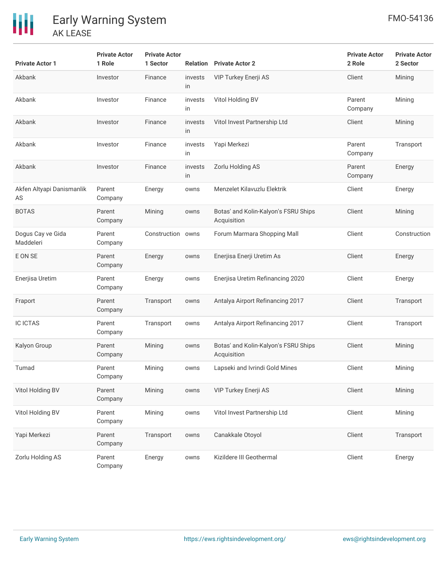| <b>Private Actor 1</b>          | <b>Private Actor</b><br>1 Role | <b>Private Actor</b><br>1 Sector |               | <b>Relation</b> Private Actor 2                     | <b>Private Actor</b><br>2 Role | <b>Private Actor</b><br>2 Sector |
|---------------------------------|--------------------------------|----------------------------------|---------------|-----------------------------------------------------|--------------------------------|----------------------------------|
| Akbank                          | Investor                       | Finance                          | invests<br>in | VIP Turkey Enerji AS                                | Client                         | Mining                           |
| Akbank                          | Investor                       | Finance                          | invests<br>in | Vitol Holding BV                                    | Parent<br>Company              | Mining                           |
| Akbank                          | Investor                       | Finance                          | invests<br>in | Vitol Invest Partnership Ltd                        | Client                         | Mining                           |
| Akbank                          | Investor                       | Finance                          | invests<br>in | Yapi Merkezi                                        | Parent<br>Company              | Transport                        |
| Akbank                          | Investor                       | Finance                          | invests<br>in | Zorlu Holding AS                                    | Parent<br>Company              | Energy                           |
| Akfen Altyapi Danismanlik<br>AS | Parent<br>Company              | Energy                           | owns          | Menzelet Kilavuzlu Elektrik                         | Client                         | Energy                           |
| <b>BOTAS</b>                    | Parent<br>Company              | Mining                           | owns          | Botas' and Kolin-Kalyon's FSRU Ships<br>Acquisition | Client                         | Mining                           |
| Dogus Cay ve Gida<br>Maddeleri  | Parent<br>Company              | Construction owns                |               | Forum Marmara Shopping Mall                         | Client                         | Construction                     |
| E ON SE                         | Parent<br>Company              | Energy                           | owns          | Enerjisa Enerji Uretim As                           | Client                         | Energy                           |
| Enerjisa Uretim                 | Parent<br>Company              | Energy                           | owns          | Enerjisa Uretim Refinancing 2020                    | Client                         | Energy                           |
| Fraport                         | Parent<br>Company              | Transport                        | owns          | Antalya Airport Refinancing 2017                    | Client                         | Transport                        |
| <b>IC ICTAS</b>                 | Parent<br>Company              | Transport                        | owns          | Antalya Airport Refinancing 2017                    | Client                         | Transport                        |
| Kalyon Group                    | Parent<br>Company              | Mining                           | owns          | Botas' and Kolin-Kalyon's FSRU Ships<br>Acquisition | Client                         | Mining                           |
| Tumad                           | Parent<br>Company              | Mining                           | owns          | Lapseki and Ivrindi Gold Mines                      | Client                         | Mining                           |
| Vitol Holding BV                | Parent<br>Company              | Mining                           | owns          | VIP Turkey Enerji AS                                | Client                         | Mining                           |
| Vitol Holding BV                | Parent<br>Company              | Mining                           | owns          | Vitol Invest Partnership Ltd                        | Client                         | Mining                           |
| Yapi Merkezi                    | Parent<br>Company              | Transport                        | owns          | Canakkale Otoyol                                    | Client                         | Transport                        |
| Zorlu Holding AS                | Parent<br>Company              | Energy                           | owns          | Kizildere III Geothermal                            | Client                         | Energy                           |